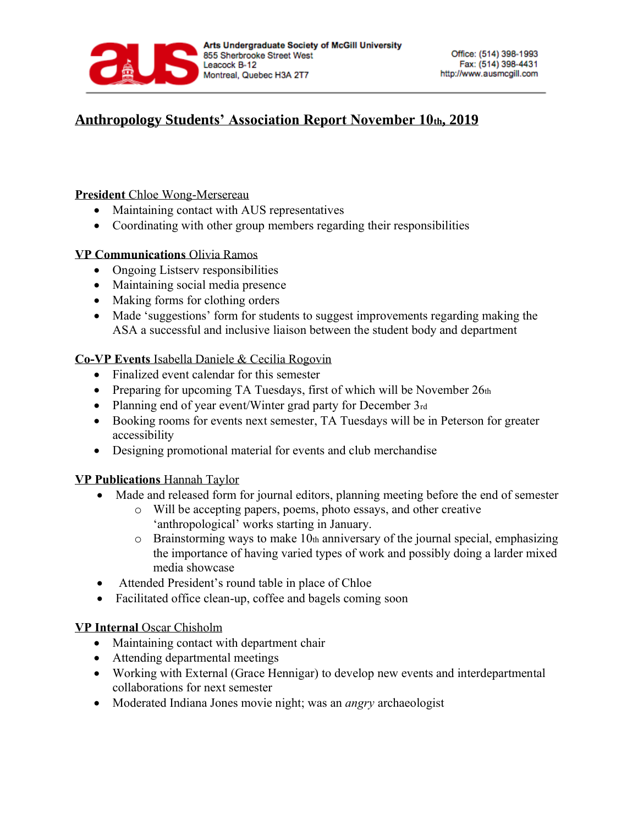

# **Anthropology Students' Association Report November 10th, 2019**

### **President** Chloe Wong-Mersereau

- Maintaining contact with AUS representatives
- Coordinating with other group members regarding their responsibilities

# **VP Communications** Olivia Ramos

- Ongoing Listserv responsibilities
- Maintaining social media presence
- Making forms for clothing orders
- Made 'suggestions' form for students to suggest improvements regarding making the ASA a successful and inclusive liaison between the student body and department

### **Co-VP Events** Isabella Daniele & Cecilia Rogovin

- Finalized event calendar for this semester
- Preparing for upcoming TA Tuesdays, first of which will be November  $26th$
- Planning end of year event/Winter grad party for December 3rd
- Booking rooms for events next semester, TA Tuesdays will be in Peterson for greater accessibility
- Designing promotional material for events and club merchandise

# **VP Publications** Hannah Taylor

- Made and released form for journal editors, planning meeting before the end of semester
	- o Will be accepting papers, poems, photo essays, and other creative 'anthropological' works starting in January.
	- $\circ$  Brainstorming ways to make 10th anniversary of the journal special, emphasizing the importance of having varied types of work and possibly doing a larder mixed media showcase
- Attended President's round table in place of Chloe
- Facilitated office clean-up, coffee and bagels coming soon

#### **VP Internal** Oscar Chisholm

- Maintaining contact with department chair
- Attending departmental meetings
- Working with External (Grace Hennigar) to develop new events and interdepartmental collaborations for next semester
- Moderated Indiana Jones movie night; was an *angry* archaeologist